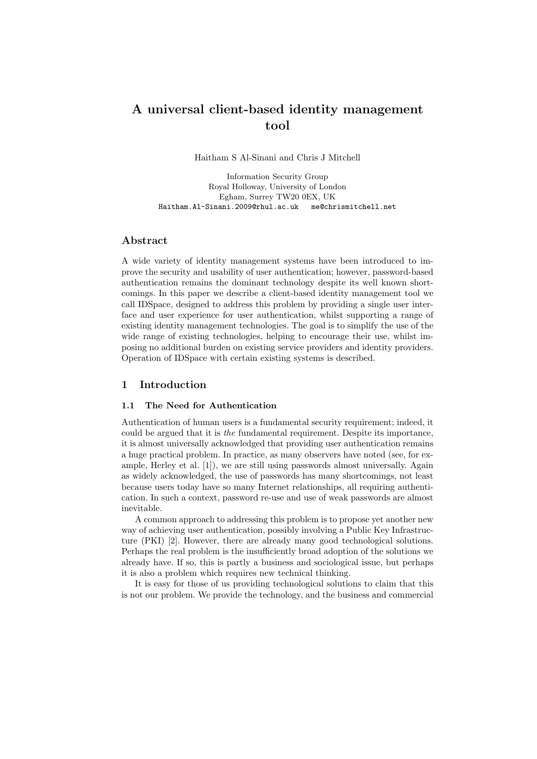# **A universal client-based identity management tool**

Haitham S Al-Sinani and Chris J Mitchell

Information Security Group Royal Holloway, University of London Egham, Surrey TW20 0EX, UK Haitham.Al-Sinani.2009@rhul.ac.uk me@chrismitchell.net

# **Abstract**

A wide variety of identity management systems have been introduced to improve the security and usability of user authentication; however, password-based authentication remains the dominant technology despite its well known shortcomings. In this paper we describe a client-based identity management tool we call IDSpace, designed to address this problem by providing a single user interface and user experience for user authentication, whilst supporting a range of existing identity management technologies. The goal is to simplify the use of the wide range of existing technologies, helping to encourage their use, whilst imposing no additional burden on existing service providers and identity providers. Operation of IDSpace with certain existing systems is described.

# **1 Introduction**

#### **1.1 The Need for Authentication**

Authentication of human users is a fundamental security requirement; indeed, it could be argued that it is *the* fundamental requirement. Despite its importance, it is almost universally acknowledged that providing user authentication remains a huge practical problem. In practice, as many observers have noted (see, for example, Herley et al. [1]), we are still using passwords almost universally. Again as widely acknowledged, the use of passwords has many shortcomings, not least because users today have so many Internet relationships, all requiring authentication. In such a context, password re-use and use of weak passwords are almost inevitable.

A common approach to addressing this problem is to propose yet another new way of achieving user authentication, possibly involving a Public Key Infrastructure (PKI) [2]. However, there are already many good technological solutions. Perhaps the real problem is the insufficiently broad adoption of the solutions we already have. If so, this is partly a business and sociological issue, but perhaps it is also a problem which requires new technical thinking.

It is easy for those of us providing technological solutions to claim that this is not our problem. We provide the technology, and the business and commercial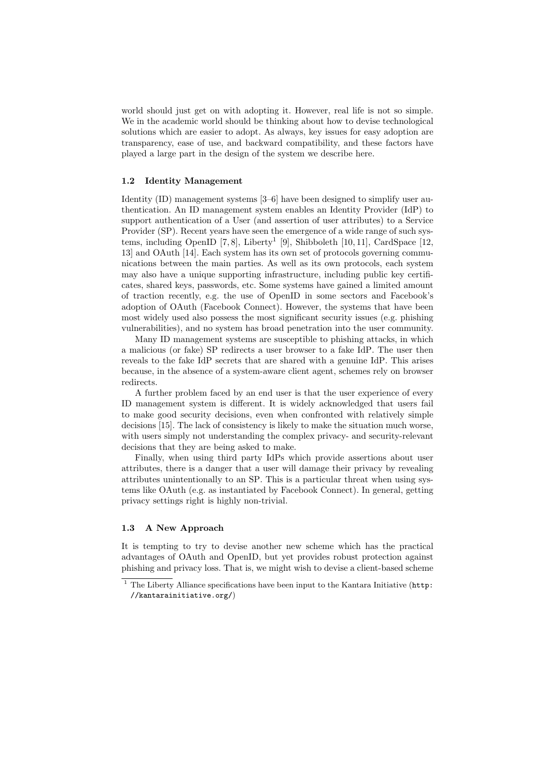world should just get on with adopting it. However, real life is not so simple. We in the academic world should be thinking about how to devise technological solutions which are easier to adopt. As always, key issues for easy adoption are transparency, ease of use, and backward compatibility, and these factors have played a large part in the design of the system we describe here.

## **1.2 Identity Management**

Identity (ID) management systems [3–6] have been designed to simplify user authentication. An ID management system enables an Identity Provider (IdP) to support authentication of a User (and assertion of user attributes) to a Service Provider (SP). Recent years have seen the emergence of a wide range of such systems, including OpenID  $[7, 8]$ , Liberty<sup>1</sup> [9], Shibboleth  $[10, 11]$ , CardSpace  $[12,$ 13] and OAuth [14]. Each system has its own set of protocols governing communications between the main parties. As well as its own protocols, each system may also have a unique supporting infrastructure, including public key certificates, shared keys, passwords, etc. Some systems have gained a limited amount of traction recently, e.g. the use of OpenID in some sectors and Facebook's adoption of OAuth (Facebook Connect). However, the systems that have been most widely used also possess the most significant security issues (e.g. phishing vulnerabilities), and no system has broad penetration into the user community.

Many ID management systems are susceptible to phishing attacks, in which a malicious (or fake) SP redirects a user browser to a fake IdP. The user then reveals to the fake IdP secrets that are shared with a genuine IdP. This arises because, in the absence of a system-aware client agent, schemes rely on browser redirects.

A further problem faced by an end user is that the user experience of every ID management system is different. It is widely acknowledged that users fail to make good security decisions, even when confronted with relatively simple decisions [15]. The lack of consistency is likely to make the situation much worse, with users simply not understanding the complex privacy- and security-relevant decisions that they are being asked to make.

Finally, when using third party IdPs which provide assertions about user attributes, there is a danger that a user will damage their privacy by revealing attributes unintentionally to an SP. This is a particular threat when using systems like OAuth (e.g. as instantiated by Facebook Connect). In general, getting privacy settings right is highly non-trivial.

#### **1.3 A New Approach**

It is tempting to try to devise another new scheme which has the practical advantages of OAuth and OpenID, but yet provides robust protection against phishing and privacy loss. That is, we might wish to devise a client-based scheme

 $1$  The Liberty Alliance specifications have been input to the Kantara Initiative (http: //kantarainitiative.org/)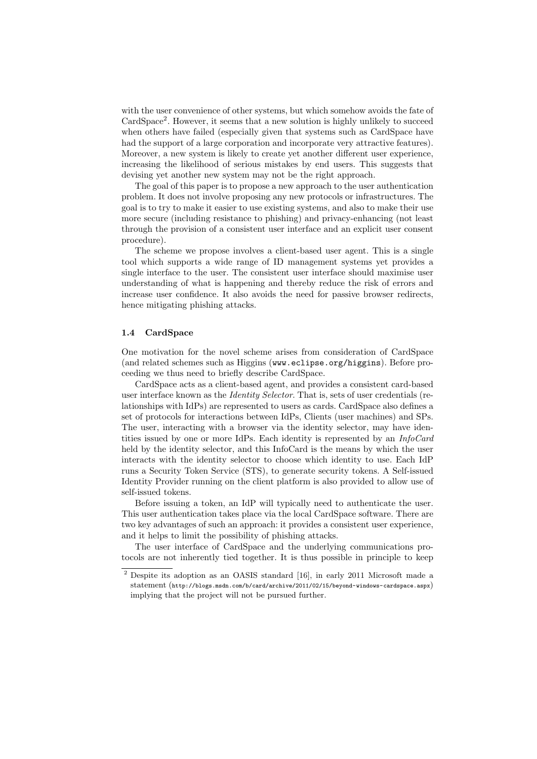with the user convenience of other systems, but which somehow avoids the fate of CardSpace<sup>2</sup> . However, it seems that a new solution is highly unlikely to succeed when others have failed (especially given that systems such as CardSpace have had the support of a large corporation and incorporate very attractive features). Moreover, a new system is likely to create yet another different user experience, increasing the likelihood of serious mistakes by end users. This suggests that devising yet another new system may not be the right approach.

The goal of this paper is to propose a new approach to the user authentication problem. It does not involve proposing any new protocols or infrastructures. The goal is to try to make it easier to use existing systems, and also to make their use more secure (including resistance to phishing) and privacy-enhancing (not least through the provision of a consistent user interface and an explicit user consent procedure).

The scheme we propose involves a client-based user agent. This is a single tool which supports a wide range of ID management systems yet provides a single interface to the user. The consistent user interface should maximise user understanding of what is happening and thereby reduce the risk of errors and increase user confidence. It also avoids the need for passive browser redirects, hence mitigating phishing attacks.

#### **1.4 CardSpace**

One motivation for the novel scheme arises from consideration of CardSpace (and related schemes such as Higgins (www.eclipse.org/higgins). Before proceeding we thus need to briefly describe CardSpace.

CardSpace acts as a client-based agent, and provides a consistent card-based user interface known as the *Identity Selector*. That is, sets of user credentials (relationships with IdPs) are represented to users as cards. CardSpace also defines a set of protocols for interactions between IdPs, Clients (user machines) and SPs. The user, interacting with a browser via the identity selector, may have identities issued by one or more IdPs. Each identity is represented by an *InfoCard* held by the identity selector, and this InfoCard is the means by which the user interacts with the identity selector to choose which identity to use. Each IdP runs a Security Token Service (STS), to generate security tokens. A Self-issued Identity Provider running on the client platform is also provided to allow use of self-issued tokens.

Before issuing a token, an IdP will typically need to authenticate the user. This user authentication takes place via the local CardSpace software. There are two key advantages of such an approach: it provides a consistent user experience, and it helps to limit the possibility of phishing attacks.

The user interface of CardSpace and the underlying communications protocols are not inherently tied together. It is thus possible in principle to keep

<sup>2</sup> Despite its adoption as an OASIS standard [16], in early 2011 Microsoft made a statement (http://blogs.msdn.com/b/card/archive/2011/02/15/beyond-windows-cardspace.aspx) implying that the project will not be pursued further.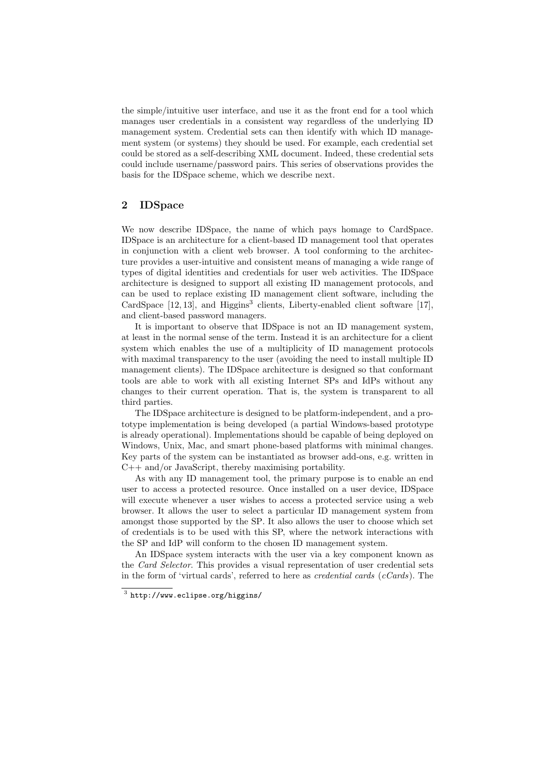the simple/intuitive user interface, and use it as the front end for a tool which manages user credentials in a consistent way regardless of the underlying ID management system. Credential sets can then identify with which ID management system (or systems) they should be used. For example, each credential set could be stored as a self-describing XML document. Indeed, these credential sets could include username/password pairs. This series of observations provides the basis for the IDSpace scheme, which we describe next.

## **2 IDSpace**

We now describe IDSpace, the name of which pays homage to CardSpace. IDSpace is an architecture for a client-based ID management tool that operates in conjunction with a client web browser. A tool conforming to the architecture provides a user-intuitive and consistent means of managing a wide range of types of digital identities and credentials for user web activities. The IDSpace architecture is designed to support all existing ID management protocols, and can be used to replace existing ID management client software, including the CardSpace  $[12, 13]$ , and Higgins<sup>3</sup> clients, Liberty-enabled client software  $[17]$ , and client-based password managers.

It is important to observe that IDSpace is not an ID management system, at least in the normal sense of the term. Instead it is an architecture for a client system which enables the use of a multiplicity of ID management protocols with maximal transparency to the user (avoiding the need to install multiple ID management clients). The IDSpace architecture is designed so that conformant tools are able to work with all existing Internet SPs and IdPs without any changes to their current operation. That is, the system is transparent to all third parties.

The IDSpace architecture is designed to be platform-independent, and a prototype implementation is being developed (a partial Windows-based prototype is already operational). Implementations should be capable of being deployed on Windows, Unix, Mac, and smart phone-based platforms with minimal changes. Key parts of the system can be instantiated as browser add-ons, e.g. written in C++ and/or JavaScript, thereby maximising portability.

As with any ID management tool, the primary purpose is to enable an end user to access a protected resource. Once installed on a user device, IDSpace will execute whenever a user wishes to access a protected service using a web browser. It allows the user to select a particular ID management system from amongst those supported by the SP. It also allows the user to choose which set of credentials is to be used with this SP, where the network interactions with the SP and IdP will conform to the chosen ID management system.

An IDSpace system interacts with the user via a key component known as the *Card Selector*. This provides a visual representation of user credential sets in the form of 'virtual cards', referred to here as *credential cards* (*cCards*). The

 $^3$  http://www.eclipse.org/higgins/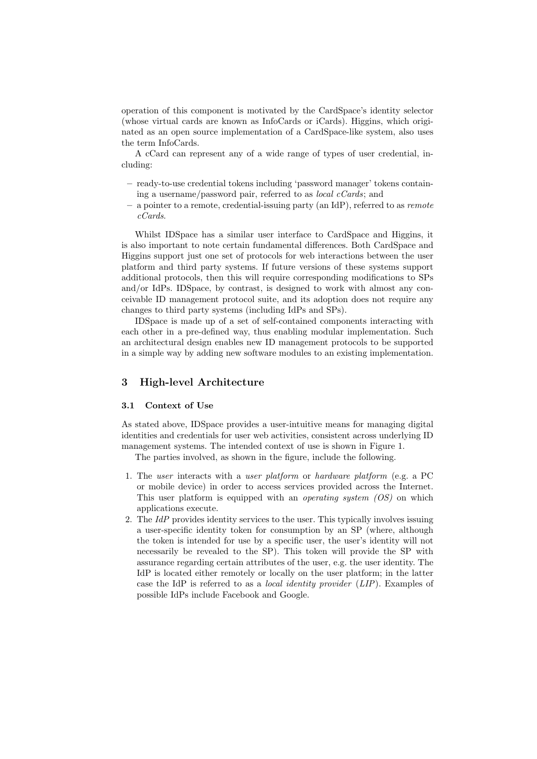operation of this component is motivated by the CardSpace's identity selector (whose virtual cards are known as InfoCards or iCards). Higgins, which originated as an open source implementation of a CardSpace-like system, also uses the term InfoCards.

A cCard can represent any of a wide range of types of user credential, including:

- **–** ready-to-use credential tokens including 'password manager' tokens containing a username/password pair, referred to as *local cCards*; and
- **–** a pointer to a remote, credential-issuing party (an IdP), referred to as *remote cCards*.

Whilst IDSpace has a similar user interface to CardSpace and Higgins, it is also important to note certain fundamental differences. Both CardSpace and Higgins support just one set of protocols for web interactions between the user platform and third party systems. If future versions of these systems support additional protocols, then this will require corresponding modifications to SPs and/or IdPs. IDSpace, by contrast, is designed to work with almost any conceivable ID management protocol suite, and its adoption does not require any changes to third party systems (including IdPs and SPs).

IDSpace is made up of a set of self-contained components interacting with each other in a pre-defined way, thus enabling modular implementation. Such an architectural design enables new ID management protocols to be supported in a simple way by adding new software modules to an existing implementation.

# **3 High-level Architecture**

#### **3.1 Context of Use**

As stated above, IDSpace provides a user-intuitive means for managing digital identities and credentials for user web activities, consistent across underlying ID management systems. The intended context of use is shown in Figure 1.

The parties involved, as shown in the figure, include the following.

- 1. The *user* interacts with a *user platform* or *hardware platform* (e.g. a PC or mobile device) in order to access services provided across the Internet. This user platform is equipped with an *operating system (OS)* on which applications execute.
- 2. The *IdP* provides identity services to the user. This typically involves issuing a user-specific identity token for consumption by an SP (where, although the token is intended for use by a specific user, the user's identity will not necessarily be revealed to the SP). This token will provide the SP with assurance regarding certain attributes of the user, e.g. the user identity. The IdP is located either remotely or locally on the user platform; in the latter case the IdP is referred to as a *local identity provider* (*LIP*). Examples of possible IdPs include Facebook and Google.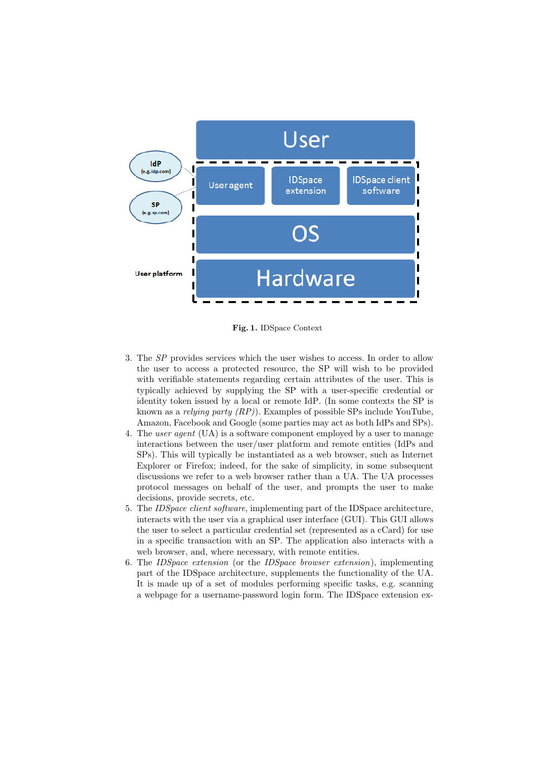

**Fig. 1.** IDSpace Context

- 3. The *SP* provides services which the user wishes to access. In order to allow the user to access a protected resource, the SP will wish to be provided with verifiable statements regarding certain attributes of the user. This is typically achieved by supplying the SP with a user-specific credential or identity token issued by a local or remote IdP. (In some contexts the SP is known as a *relying party (RP)*). Examples of possible SPs include YouTube, Amazon, Facebook and Google (some parties may act as both IdPs and SPs).
- 4. The *user agent* (UA) is a software component employed by a user to manage interactions between the user/user platform and remote entities (IdPs and SPs). This will typically be instantiated as a web browser, such as Internet Explorer or Firefox; indeed, for the sake of simplicity, in some subsequent discussions we refer to a web browser rather than a UA. The UA processes protocol messages on behalf of the user, and prompts the user to make decisions, provide secrets, etc.
- 5. The *IDSpace client software*, implementing part of the IDSpace architecture, interacts with the user via a graphical user interface (GUI). This GUI allows the user to select a particular credential set (represented as a cCard) for use in a specific transaction with an SP. The application also interacts with a web browser, and, where necessary, with remote entities.
- 6. The *IDSpace extension* (or the *IDSpace browser extension*), implementing part of the IDSpace architecture, supplements the functionality of the UA. It is made up of a set of modules performing specific tasks, e.g. scanning a webpage for a username-password login form. The IDSpace extension ex-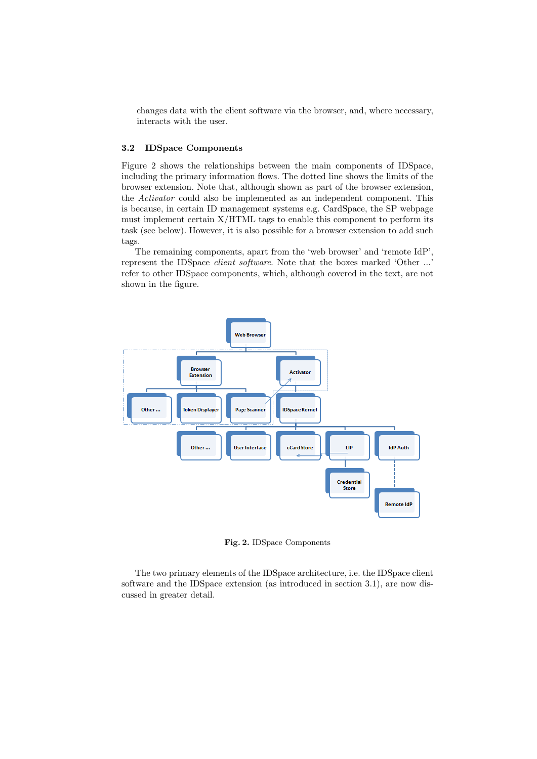changes data with the client software via the browser, and, where necessary, interacts with the user.

# **3.2 IDSpace Components**

Figure 2 shows the relationships between the main components of IDSpace, including the primary information flows. The dotted line shows the limits of the browser extension. Note that, although shown as part of the browser extension, the *Activator* could also be implemented as an independent component. This is because, in certain ID management systems e.g. CardSpace, the SP webpage must implement certain  $X/HTML$  tags to enable this component to perform its task (see below). However, it is also possible for a browser extension to add such tags.

The remaining components, apart from the 'web browser' and 'remote IdP', represent the IDSpace *client software*. Note that the boxes marked 'Other ...' refer to other IDSpace components, which, although covered in the text, are not shown in the figure.



**Fig. 2.** IDSpace Components

The two primary elements of the IDSpace architecture, i.e. the IDSpace client software and the IDSpace extension (as introduced in section 3.1), are now discussed in greater detail.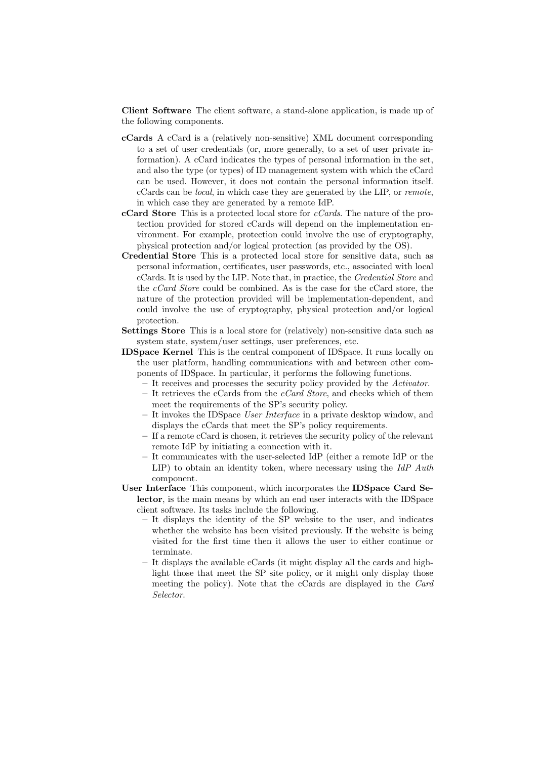**Client Software** The client software, a stand-alone application, is made up of the following components.

- **cCards** A cCard is a (relatively non-sensitive) XML document corresponding to a set of user credentials (or, more generally, to a set of user private information). A cCard indicates the types of personal information in the set, and also the type (or types) of ID management system with which the cCard can be used. However, it does not contain the personal information itself. cCards can be *local*, in which case they are generated by the LIP, or *remote*, in which case they are generated by a remote IdP.
- **cCard Store** This is a protected local store for *cCards*. The nature of the protection provided for stored cCards will depend on the implementation environment. For example, protection could involve the use of cryptography, physical protection and/or logical protection (as provided by the OS).
- **Credential Store** This is a protected local store for sensitive data, such as personal information, certificates, user passwords, etc., associated with local cCards. It is used by the LIP. Note that, in practice, the *Credential Store* and the *cCard Store* could be combined. As is the case for the cCard store, the nature of the protection provided will be implementation-dependent, and could involve the use of cryptography, physical protection and/or logical protection.
- **Settings Store** This is a local store for (relatively) non-sensitive data such as system state, system/user settings, user preferences, etc.
- **IDSpace Kernel** This is the central component of IDSpace. It runs locally on the user platform, handling communications with and between other components of IDSpace. In particular, it performs the following functions.
	- **–** It receives and processes the security policy provided by the *Activator*.
	- **–** It retrieves the cCards from the *cCard Store*, and checks which of them meet the requirements of the SP's security policy.
	- **–** It invokes the IDSpace *User Interface* in a private desktop window, and displays the cCards that meet the SP's policy requirements.
	- **–** If a remote cCard is chosen, it retrieves the security policy of the relevant remote IdP by initiating a connection with it.
	- **–** It communicates with the user-selected IdP (either a remote IdP or the LIP) to obtain an identity token, where necessary using the *IdP Auth* component.
- **User Interface** This component, which incorporates the **IDSpace Card Selector**, is the main means by which an end user interacts with the IDSpace client software. Its tasks include the following.
	- **–** It displays the identity of the SP website to the user, and indicates whether the website has been visited previously. If the website is being visited for the first time then it allows the user to either continue or terminate.
	- **–** It displays the available cCards (it might display all the cards and highlight those that meet the SP site policy, or it might only display those meeting the policy). Note that the cCards are displayed in the *Card Selector*.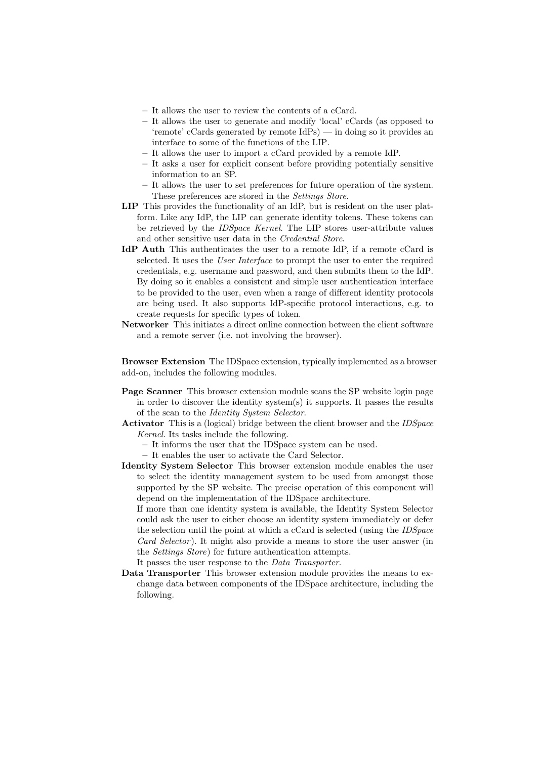- **–** It allows the user to review the contents of a cCard.
- **–** It allows the user to generate and modify 'local' cCards (as opposed to 'remote' cCards generated by remote IdPs) — in doing so it provides an interface to some of the functions of the LIP.
- **–** It allows the user to import a cCard provided by a remote IdP.
- **–** It asks a user for explicit consent before providing potentially sensitive information to an SP.
- **–** It allows the user to set preferences for future operation of the system. These preferences are stored in the *Settings Store*.
- **LIP** This provides the functionality of an IdP, but is resident on the user platform. Like any IdP, the LIP can generate identity tokens. These tokens can be retrieved by the *IDSpace Kernel*. The LIP stores user-attribute values and other sensitive user data in the *Credential Store*.
- **IdP Auth** This authenticates the user to a remote IdP, if a remote cCard is selected. It uses the *User Interface* to prompt the user to enter the required credentials, e.g. username and password, and then submits them to the IdP. By doing so it enables a consistent and simple user authentication interface to be provided to the user, even when a range of different identity protocols are being used. It also supports IdP-specific protocol interactions, e.g. to create requests for specific types of token.
- **Networker** This initiates a direct online connection between the client software and a remote server (i.e. not involving the browser).

**Browser Extension** The IDSpace extension, typically implemented as a browser add-on, includes the following modules.

- **Page Scanner** This browser extension module scans the SP website login page in order to discover the identity system(s) it supports. It passes the results of the scan to the *Identity System Selector*.
- **Activator** This is a (logical) bridge between the client browser and the *IDSpace Kernel*. Its tasks include the following.
	- **–** It informs the user that the IDSpace system can be used.
	- **–** It enables the user to activate the Card Selector.
- **Identity System Selector** This browser extension module enables the user to select the identity management system to be used from amongst those supported by the SP website. The precise operation of this component will depend on the implementation of the IDSpace architecture.

If more than one identity system is available, the Identity System Selector could ask the user to either choose an identity system immediately or defer the selection until the point at which a cCard is selected (using the *IDSpace Card Selector* ). It might also provide a means to store the user answer (in the *Settings Store*) for future authentication attempts.

It passes the user response to the *Data Transporter*.

**Data Transporter** This browser extension module provides the means to exchange data between components of the IDSpace architecture, including the following.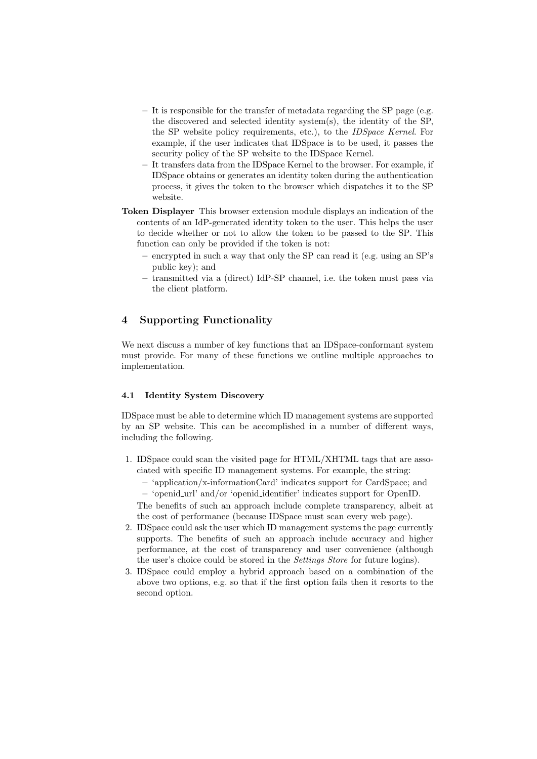- **–** It is responsible for the transfer of metadata regarding the SP page (e.g. the discovered and selected identity system(s), the identity of the SP, the SP website policy requirements, etc.), to the *IDSpace Kernel*. For example, if the user indicates that IDSpace is to be used, it passes the security policy of the SP website to the IDSpace Kernel.
- **–** It transfers data from the IDSpace Kernel to the browser. For example, if IDSpace obtains or generates an identity token during the authentication process, it gives the token to the browser which dispatches it to the SP website.
- **Token Displayer** This browser extension module displays an indication of the contents of an IdP-generated identity token to the user. This helps the user to decide whether or not to allow the token to be passed to the SP. This function can only be provided if the token is not:
	- **–** encrypted in such a way that only the SP can read it (e.g. using an SP's public key); and
	- **–** transmitted via a (direct) IdP-SP channel, i.e. the token must pass via the client platform.

# **4 Supporting Functionality**

We next discuss a number of key functions that an IDSpace-conformant system must provide. For many of these functions we outline multiple approaches to implementation.

## **4.1 Identity System Discovery**

IDSpace must be able to determine which ID management systems are supported by an SP website. This can be accomplished in a number of different ways, including the following.

- 1. IDSpace could scan the visited page for HTML/XHTML tags that are associated with specific ID management systems. For example, the string:
	- **–** 'application/x-informationCard' indicates support for CardSpace; and

**–** 'openid url' and/or 'openid identifier' indicates support for OpenID. The benefits of such an approach include complete transparency, albeit at the cost of performance (because IDSpace must scan every web page).

- 2. IDSpace could ask the user which ID management systems the page currently supports. The benefits of such an approach include accuracy and higher performance, at the cost of transparency and user convenience (although the user's choice could be stored in the *Settings Store* for future logins).
- 3. IDSpace could employ a hybrid approach based on a combination of the above two options, e.g. so that if the first option fails then it resorts to the second option.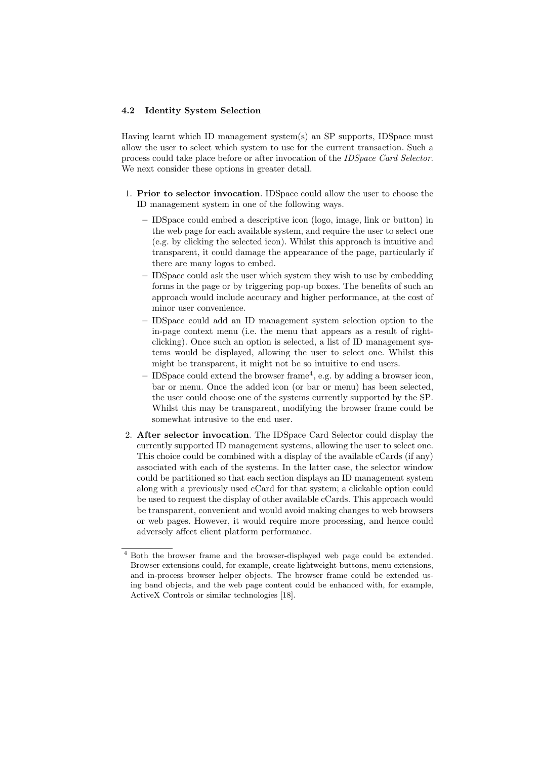## **4.2 Identity System Selection**

Having learnt which ID management system(s) an SP supports, IDSpace must allow the user to select which system to use for the current transaction. Such a process could take place before or after invocation of the *IDSpace Card Selector*. We next consider these options in greater detail.

- 1. **Prior to selector invocation**. IDSpace could allow the user to choose the ID management system in one of the following ways.
	- **–** IDSpace could embed a descriptive icon (logo, image, link or button) in the web page for each available system, and require the user to select one (e.g. by clicking the selected icon). Whilst this approach is intuitive and transparent, it could damage the appearance of the page, particularly if there are many logos to embed.
	- **–** IDSpace could ask the user which system they wish to use by embedding forms in the page or by triggering pop-up boxes. The benefits of such an approach would include accuracy and higher performance, at the cost of minor user convenience.
	- **–** IDSpace could add an ID management system selection option to the in-page context menu (i.e. the menu that appears as a result of rightclicking). Once such an option is selected, a list of ID management systems would be displayed, allowing the user to select one. Whilst this might be transparent, it might not be so intuitive to end users.
	- **–** IDSpace could extend the browser frame<sup>4</sup> , e.g. by adding a browser icon, bar or menu. Once the added icon (or bar or menu) has been selected, the user could choose one of the systems currently supported by the SP. Whilst this may be transparent, modifying the browser frame could be somewhat intrusive to the end user.
- 2. **After selector invocation**. The IDSpace Card Selector could display the currently supported ID management systems, allowing the user to select one. This choice could be combined with a display of the available cCards (if any) associated with each of the systems. In the latter case, the selector window could be partitioned so that each section displays an ID management system along with a previously used cCard for that system; a clickable option could be used to request the display of other available cCards. This approach would be transparent, convenient and would avoid making changes to web browsers or web pages. However, it would require more processing, and hence could adversely affect client platform performance.

<sup>4</sup> Both the browser frame and the browser-displayed web page could be extended. Browser extensions could, for example, create lightweight buttons, menu extensions, and in-process browser helper objects. The browser frame could be extended using band objects, and the web page content could be enhanced with, for example, ActiveX Controls or similar technologies [18].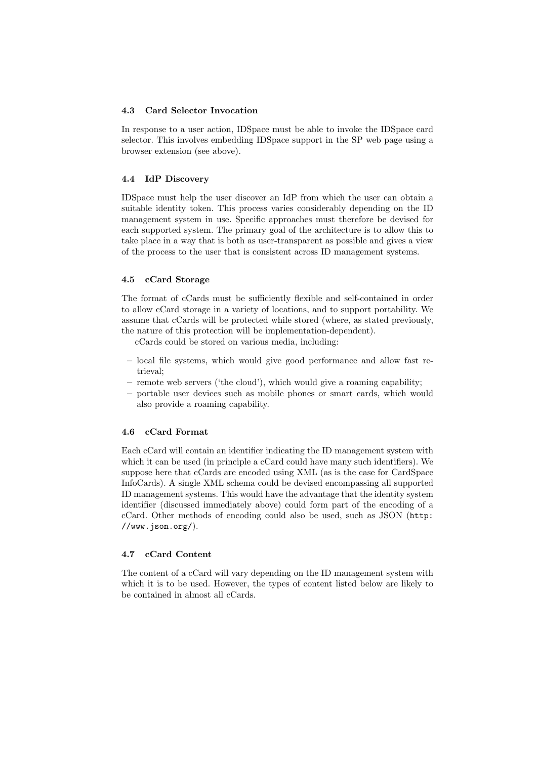#### **4.3 Card Selector Invocation**

In response to a user action, IDSpace must be able to invoke the IDSpace card selector. This involves embedding IDSpace support in the SP web page using a browser extension (see above).

# **4.4 IdP Discovery**

IDSpace must help the user discover an IdP from which the user can obtain a suitable identity token. This process varies considerably depending on the ID management system in use. Specific approaches must therefore be devised for each supported system. The primary goal of the architecture is to allow this to take place in a way that is both as user-transparent as possible and gives a view of the process to the user that is consistent across ID management systems.

### **4.5 cCard Storage**

The format of cCards must be sufficiently flexible and self-contained in order to allow cCard storage in a variety of locations, and to support portability. We assume that cCards will be protected while stored (where, as stated previously, the nature of this protection will be implementation-dependent).

cCards could be stored on various media, including:

- **–** local file systems, which would give good performance and allow fast retrieval;
- **–** remote web servers ('the cloud'), which would give a roaming capability;
- **–** portable user devices such as mobile phones or smart cards, which would also provide a roaming capability.

#### **4.6 cCard Format**

Each cCard will contain an identifier indicating the ID management system with which it can be used (in principle a cCard could have many such identifiers). We suppose here that cCards are encoded using XML (as is the case for CardSpace InfoCards). A single XML schema could be devised encompassing all supported ID management systems. This would have the advantage that the identity system identifier (discussed immediately above) could form part of the encoding of a cCard. Other methods of encoding could also be used, such as JSON (http: //www.json.org/).

## **4.7 cCard Content**

The content of a cCard will vary depending on the ID management system with which it is to be used. However, the types of content listed below are likely to be contained in almost all cCards.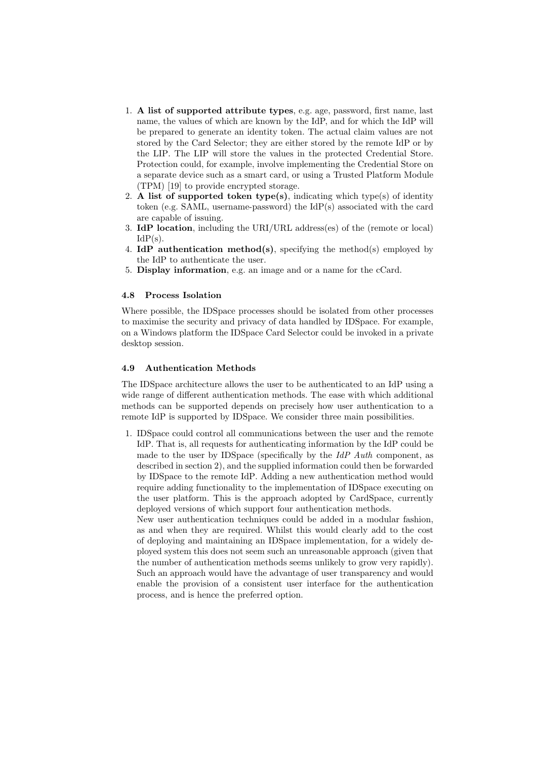- 1. **A list of supported attribute types**, e.g. age, password, first name, last name, the values of which are known by the IdP, and for which the IdP will be prepared to generate an identity token. The actual claim values are not stored by the Card Selector; they are either stored by the remote IdP or by the LIP. The LIP will store the values in the protected Credential Store. Protection could, for example, involve implementing the Credential Store on a separate device such as a smart card, or using a Trusted Platform Module (TPM) [19] to provide encrypted storage.
- 2. **A list of supported token type(s)**, indicating which type(s) of identity token (e.g. SAML, username-password) the IdP(s) associated with the card are capable of issuing.
- 3. **IdP location**, including the URI/URL address(es) of the (remote or local)  $IdP(s)$ .
- 4. **IdP authentication method(s)**, specifying the method(s) employed by the IdP to authenticate the user.
- 5. **Display information**, e.g. an image and or a name for the cCard.

#### **4.8 Process Isolation**

Where possible, the IDSpace processes should be isolated from other processes to maximise the security and privacy of data handled by IDSpace. For example, on a Windows platform the IDSpace Card Selector could be invoked in a private desktop session.

#### **4.9 Authentication Methods**

The IDSpace architecture allows the user to be authenticated to an IdP using a wide range of different authentication methods. The ease with which additional methods can be supported depends on precisely how user authentication to a remote IdP is supported by IDSpace. We consider three main possibilities.

1. IDSpace could control all communications between the user and the remote IdP. That is, all requests for authenticating information by the IdP could be made to the user by IDSpace (specifically by the *IdP Auth* component, as described in section 2), and the supplied information could then be forwarded by IDSpace to the remote IdP. Adding a new authentication method would require adding functionality to the implementation of IDSpace executing on the user platform. This is the approach adopted by CardSpace, currently deployed versions of which support four authentication methods. New user authentication techniques could be added in a modular fashion, as and when they are required. Whilst this would clearly add to the cost

of deploying and maintaining an IDSpace implementation, for a widely deployed system this does not seem such an unreasonable approach (given that the number of authentication methods seems unlikely to grow very rapidly). Such an approach would have the advantage of user transparency and would enable the provision of a consistent user interface for the authentication process, and is hence the preferred option.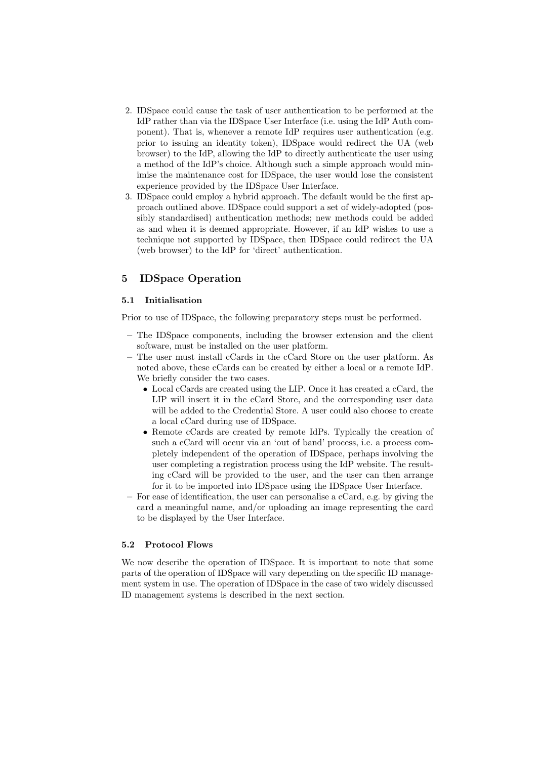- 2. IDSpace could cause the task of user authentication to be performed at the IdP rather than via the IDSpace User Interface (i.e. using the IdP Auth component). That is, whenever a remote IdP requires user authentication (e.g. prior to issuing an identity token), IDSpace would redirect the UA (web browser) to the IdP, allowing the IdP to directly authenticate the user using a method of the IdP's choice. Although such a simple approach would minimise the maintenance cost for IDSpace, the user would lose the consistent experience provided by the IDSpace User Interface.
- 3. IDSpace could employ a hybrid approach. The default would be the first approach outlined above. IDSpace could support a set of widely-adopted (possibly standardised) authentication methods; new methods could be added as and when it is deemed appropriate. However, if an IdP wishes to use a technique not supported by IDSpace, then IDSpace could redirect the UA (web browser) to the IdP for 'direct' authentication.

# **5 IDSpace Operation**

## **5.1 Initialisation**

Prior to use of IDSpace, the following preparatory steps must be performed.

- **–** The IDSpace components, including the browser extension and the client software, must be installed on the user platform.
- **–** The user must install cCards in the cCard Store on the user platform. As noted above, these cCards can be created by either a local or a remote IdP. We briefly consider the two cases.
	- *•* Local cCards are created using the LIP. Once it has created a cCard, the LIP will insert it in the cCard Store, and the corresponding user data will be added to the Credential Store. A user could also choose to create a local cCard during use of IDSpace.
	- Remote cCards are created by remote IdPs. Typically the creation of such a cCard will occur via an 'out of band' process, i.e. a process completely independent of the operation of IDSpace, perhaps involving the user completing a registration process using the IdP website. The resulting cCard will be provided to the user, and the user can then arrange for it to be imported into IDSpace using the IDSpace User Interface.
- **–** For ease of identification, the user can personalise a cCard, e.g. by giving the card a meaningful name, and/or uploading an image representing the card to be displayed by the User Interface.

## **5.2 Protocol Flows**

We now describe the operation of IDSpace. It is important to note that some parts of the operation of IDSpace will vary depending on the specific ID management system in use. The operation of IDSpace in the case of two widely discussed ID management systems is described in the next section.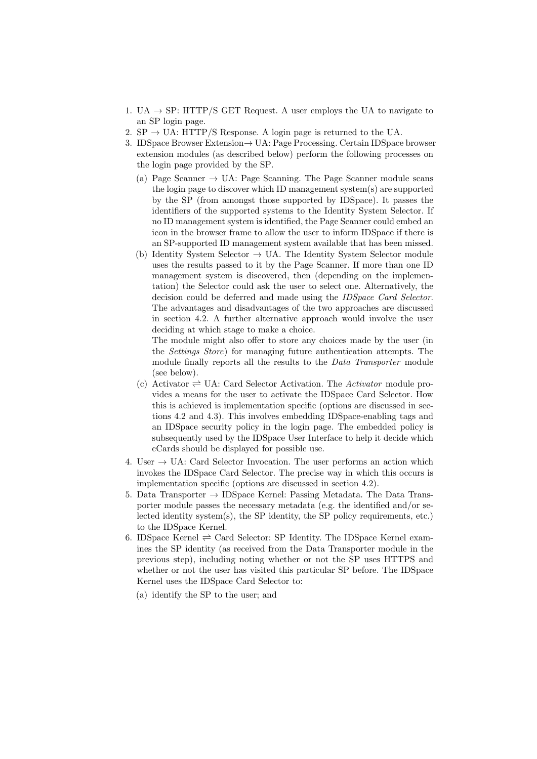- 1. UA  $\rightarrow$  SP: HTTP/S GET Request. A user employs the UA to navigate to an SP login page.
- 2.  $SP \rightarrow UA$ : HTTP/S Response. A login page is returned to the UA.
- 3. IDSpace Browser Extension*→* UA: Page Processing. Certain IDSpace browser extension modules (as described below) perform the following processes on the login page provided by the SP.
	- (a) Page Scanner *→* UA: Page Scanning. The Page Scanner module scans the login page to discover which ID management system(s) are supported by the SP (from amongst those supported by IDSpace). It passes the identifiers of the supported systems to the Identity System Selector. If no ID management system is identified, the Page Scanner could embed an icon in the browser frame to allow the user to inform IDSpace if there is an SP-supported ID management system available that has been missed.
	- (b) Identity System Selector *→* UA. The Identity System Selector module uses the results passed to it by the Page Scanner. If more than one ID management system is discovered, then (depending on the implementation) the Selector could ask the user to select one. Alternatively, the decision could be deferred and made using the *IDSpace Card Selector*. The advantages and disadvantages of the two approaches are discussed in section 4.2. A further alternative approach would involve the user deciding at which stage to make a choice.

The module might also offer to store any choices made by the user (in the *Settings Store*) for managing future authentication attempts. The module finally reports all the results to the *Data Transporter* module (see below).

- (c) Activator  $\rightleftharpoons$  UA: Card Selector Activation. The *Activator* module provides a means for the user to activate the IDSpace Card Selector. How this is achieved is implementation specific (options are discussed in sections 4.2 and 4.3). This involves embedding IDSpace-enabling tags and an IDSpace security policy in the login page. The embedded policy is subsequently used by the IDSpace User Interface to help it decide which cCards should be displayed for possible use.
- 4. User *→* UA: Card Selector Invocation. The user performs an action which invokes the IDSpace Card Selector. The precise way in which this occurs is implementation specific (options are discussed in section 4.2).
- 5. Data Transporter *→* IDSpace Kernel: Passing Metadata. The Data Transporter module passes the necessary metadata (e.g. the identified and/or selected identity system(s), the SP identity, the SP policy requirements, etc.) to the IDSpace Kernel.
- 6. IDSpace Kernel  $\rightleftharpoons$  Card Selector: SP Identity. The IDSpace Kernel examines the SP identity (as received from the Data Transporter module in the previous step), including noting whether or not the SP uses HTTPS and whether or not the user has visited this particular SP before. The IDSpace Kernel uses the IDSpace Card Selector to:
	- (a) identify the SP to the user; and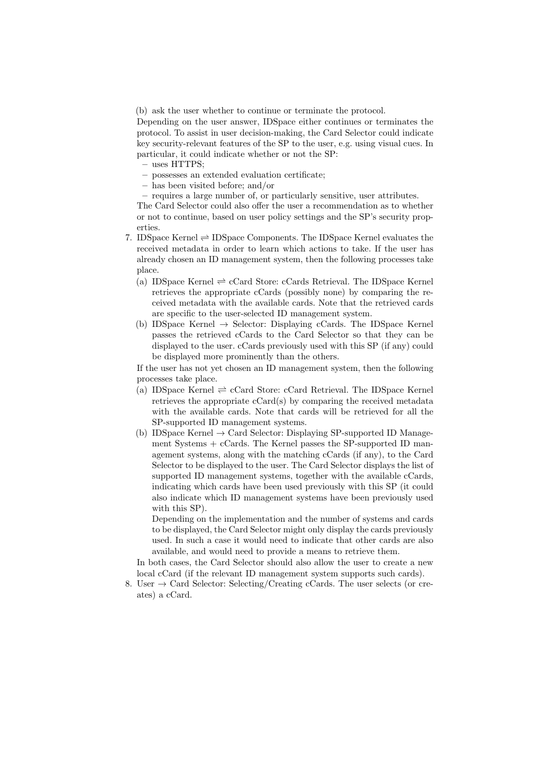(b) ask the user whether to continue or terminate the protocol.

Depending on the user answer, IDSpace either continues or terminates the protocol. To assist in user decision-making, the Card Selector could indicate key security-relevant features of the SP to the user, e.g. using visual cues. In particular, it could indicate whether or not the SP:

- **–** uses HTTPS;
- **–** possesses an extended evaluation certificate;
- **–** has been visited before; and/or
- **–** requires a large number of, or particularly sensitive, user attributes.

The Card Selector could also offer the user a recommendation as to whether or not to continue, based on user policy settings and the SP's security properties.

- 7. IDSpace Kernel *⇀↽* IDSpace Components. The IDSpace Kernel evaluates the received metadata in order to learn which actions to take. If the user has already chosen an ID management system, then the following processes take place.
	- (a) IDSpace Kernel  $\Rightarrow$  cCard Store: cCards Retrieval. The IDSpace Kernel retrieves the appropriate cCards (possibly none) by comparing the received metadata with the available cards. Note that the retrieved cards are specific to the user-selected ID management system.
	- (b) IDSpace Kernel *→* Selector: Displaying cCards. The IDSpace Kernel passes the retrieved cCards to the Card Selector so that they can be displayed to the user. cCards previously used with this SP (if any) could be displayed more prominently than the others.

If the user has not yet chosen an ID management system, then the following processes take place.

- (a) IDSpace Kernel  $\Rightarrow$  cCard Store: cCard Retrieval. The IDSpace Kernel retrieves the appropriate cCard(s) by comparing the received metadata with the available cards. Note that cards will be retrieved for all the SP-supported ID management systems.
- (b) IDSpace Kernel *→* Card Selector: Displaying SP-supported ID Management Systems + cCards. The Kernel passes the SP-supported ID management systems, along with the matching cCards (if any), to the Card Selector to be displayed to the user. The Card Selector displays the list of supported ID management systems, together with the available cCards, indicating which cards have been used previously with this SP (it could also indicate which ID management systems have been previously used with this SP).

Depending on the implementation and the number of systems and cards to be displayed, the Card Selector might only display the cards previously used. In such a case it would need to indicate that other cards are also available, and would need to provide a means to retrieve them.

In both cases, the Card Selector should also allow the user to create a new local cCard (if the relevant ID management system supports such cards).

8. User *→* Card Selector: Selecting/Creating cCards. The user selects (or creates) a cCard.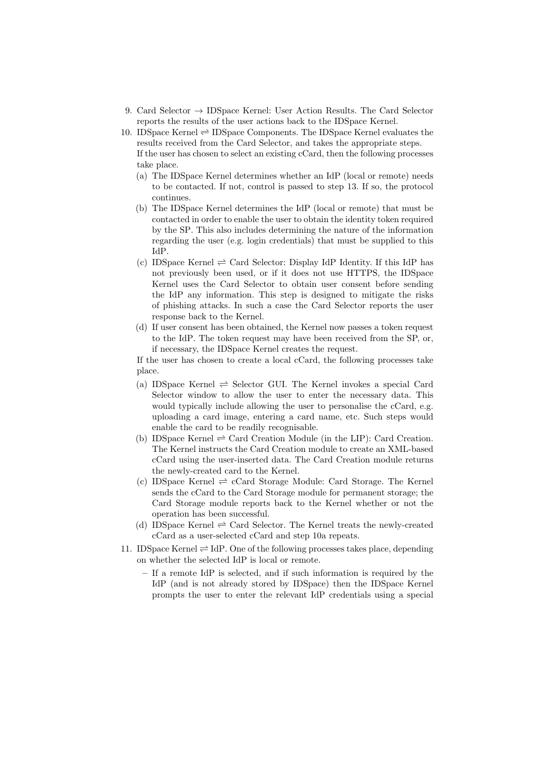- 9. Card Selector *→* IDSpace Kernel: User Action Results. The Card Selector reports the results of the user actions back to the IDSpace Kernel.
- 10. IDSpace Kernel *⇀↽* IDSpace Components. The IDSpace Kernel evaluates the results received from the Card Selector, and takes the appropriate steps. If the user has chosen to select an existing cCard, then the following processes take place.
	- (a) The IDSpace Kernel determines whether an IdP (local or remote) needs to be contacted. If not, control is passed to step 13. If so, the protocol continues.
	- (b) The IDSpace Kernel determines the IdP (local or remote) that must be contacted in order to enable the user to obtain the identity token required by the SP. This also includes determining the nature of the information regarding the user (e.g. login credentials) that must be supplied to this IdP.
	- (c) IDSpace Kernel  $\Rightarrow$  Card Selector: Display IdP Identity. If this IdP has not previously been used, or if it does not use HTTPS, the IDSpace Kernel uses the Card Selector to obtain user consent before sending the IdP any information. This step is designed to mitigate the risks of phishing attacks. In such a case the Card Selector reports the user response back to the Kernel.
	- (d) If user consent has been obtained, the Kernel now passes a token request to the IdP. The token request may have been received from the SP, or, if necessary, the IDSpace Kernel creates the request.

If the user has chosen to create a local cCard, the following processes take place.

- (a) IDSpace Kernel  $\Rightarrow$  Selector GUI. The Kernel invokes a special Card Selector window to allow the user to enter the necessary data. This would typically include allowing the user to personalise the cCard, e.g. uploading a card image, entering a card name, etc. Such steps would enable the card to be readily recognisable.
- (b) IDSpace Kernel  $\Rightarrow$  Card Creation Module (in the LIP): Card Creation. The Kernel instructs the Card Creation module to create an XML-based cCard using the user-inserted data. The Card Creation module returns the newly-created card to the Kernel.
- (c) IDSpace Kernel *⇀↽* cCard Storage Module: Card Storage. The Kernel sends the cCard to the Card Storage module for permanent storage; the Card Storage module reports back to the Kernel whether or not the operation has been successful.
- (d) IDSpace Kernel  $\rightleftharpoons$  Card Selector. The Kernel treats the newly-created cCard as a user-selected cCard and step 10a repeats.
- 11. IDSpace Kernel *⇀↽* IdP. One of the following processes takes place, depending on whether the selected IdP is local or remote.
	- **–** If a remote IdP is selected, and if such information is required by the IdP (and is not already stored by IDSpace) then the IDSpace Kernel prompts the user to enter the relevant IdP credentials using a special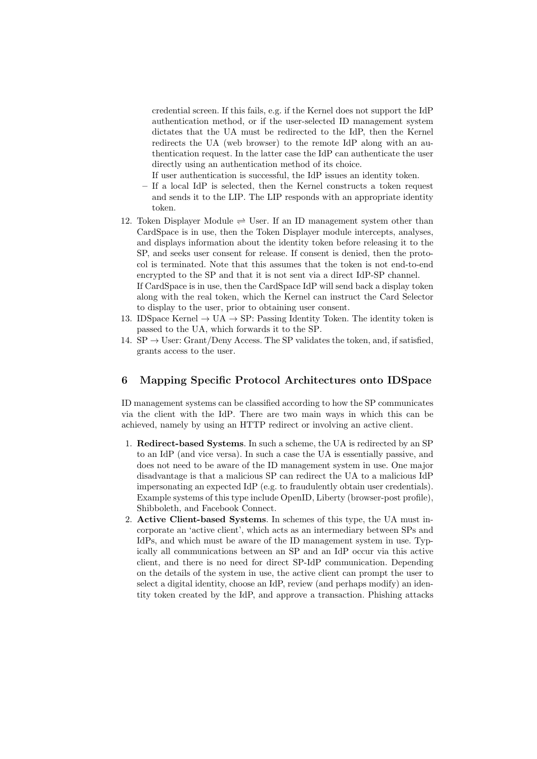credential screen. If this fails, e.g. if the Kernel does not support the IdP authentication method, or if the user-selected ID management system dictates that the UA must be redirected to the IdP, then the Kernel redirects the UA (web browser) to the remote IdP along with an authentication request. In the latter case the IdP can authenticate the user directly using an authentication method of its choice.

- If user authentication is successful, the IdP issues an identity token.
- **–** If a local IdP is selected, then the Kernel constructs a token request and sends it to the LIP. The LIP responds with an appropriate identity token.
- 12. Token Displayer Module  $\rightleftharpoons$  User. If an ID management system other than CardSpace is in use, then the Token Displayer module intercepts, analyses, and displays information about the identity token before releasing it to the SP, and seeks user consent for release. If consent is denied, then the protocol is terminated. Note that this assumes that the token is not end-to-end encrypted to the SP and that it is not sent via a direct IdP-SP channel. If CardSpace is in use, then the CardSpace IdP will send back a display token along with the real token, which the Kernel can instruct the Card Selector to display to the user, prior to obtaining user consent.
- 13. IDSpace Kernel *→* UA *→* SP: Passing Identity Token. The identity token is passed to the UA, which forwards it to the SP.
- 14. SP *→* User: Grant/Deny Access. The SP validates the token, and, if satisfied, grants access to the user.

# **6 Mapping Specific Protocol Architectures onto IDSpace**

ID management systems can be classified according to how the SP communicates via the client with the IdP. There are two main ways in which this can be achieved, namely by using an HTTP redirect or involving an active client.

- 1. **Redirect-based Systems**. In such a scheme, the UA is redirected by an SP to an IdP (and vice versa). In such a case the UA is essentially passive, and does not need to be aware of the ID management system in use. One major disadvantage is that a malicious SP can redirect the UA to a malicious IdP impersonating an expected IdP (e.g. to fraudulently obtain user credentials). Example systems of this type include OpenID, Liberty (browser-post profile), Shibboleth, and Facebook Connect.
- 2. **Active Client-based Systems**. In schemes of this type, the UA must incorporate an 'active client', which acts as an intermediary between SPs and IdPs, and which must be aware of the ID management system in use. Typically all communications between an SP and an IdP occur via this active client, and there is no need for direct SP-IdP communication. Depending on the details of the system in use, the active client can prompt the user to select a digital identity, choose an IdP, review (and perhaps modify) an identity token created by the IdP, and approve a transaction. Phishing attacks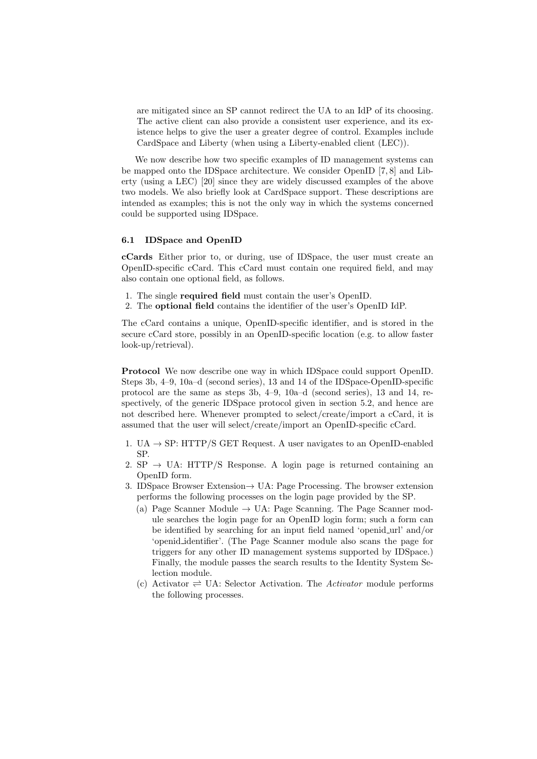are mitigated since an SP cannot redirect the UA to an IdP of its choosing. The active client can also provide a consistent user experience, and its existence helps to give the user a greater degree of control. Examples include CardSpace and Liberty (when using a Liberty-enabled client (LEC)).

We now describe how two specific examples of ID management systems can be mapped onto the IDSpace architecture. We consider OpenID [7, 8] and Liberty (using a LEC) [20] since they are widely discussed examples of the above two models. We also briefly look at CardSpace support. These descriptions are intended as examples; this is not the only way in which the systems concerned could be supported using IDSpace.

#### **6.1 IDSpace and OpenID**

**cCards** Either prior to, or during, use of IDSpace, the user must create an OpenID-specific cCard. This cCard must contain one required field, and may also contain one optional field, as follows.

- 1. The single **required field** must contain the user's OpenID.
- 2. The **optional field** contains the identifier of the user's OpenID IdP.

The cCard contains a unique, OpenID-specific identifier, and is stored in the secure cCard store, possibly in an OpenID-specific location (e.g. to allow faster look-up/retrieval).

**Protocol** We now describe one way in which IDSpace could support OpenID. Steps 3b, 4–9, 10a–d (second series), 13 and 14 of the IDSpace-OpenID-specific protocol are the same as steps 3b, 4–9, 10a–d (second series), 13 and 14, respectively, of the generic IDSpace protocol given in section 5.2, and hence are not described here. Whenever prompted to select/create/import a cCard, it is assumed that the user will select/create/import an OpenID-specific cCard.

- 1. UA *→* SP: HTTP/S GET Request. A user navigates to an OpenID-enabled SP.
- 2.  $SP \rightarrow UA$ : HTTP/S Response. A login page is returned containing an OpenID form.
- 3. IDSpace Browser Extension*→* UA: Page Processing. The browser extension performs the following processes on the login page provided by the SP.
	- (a) Page Scanner Module *→* UA: Page Scanning. The Page Scanner module searches the login page for an OpenID login form; such a form can be identified by searching for an input field named 'openid url' and/or 'openid identifier'. (The Page Scanner module also scans the page for triggers for any other ID management systems supported by IDSpace.) Finally, the module passes the search results to the Identity System Selection module.
	- (c) Activator  $\Rightarrow$  UA: Selector Activation. The *Activator* module performs the following processes.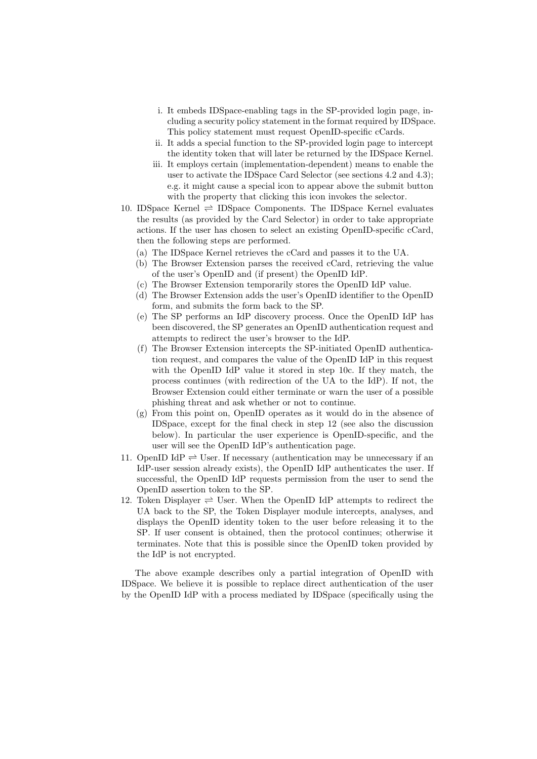- i. It embeds IDSpace-enabling tags in the SP-provided login page, including a security policy statement in the format required by IDSpace. This policy statement must request OpenID-specific cCards.
- ii. It adds a special function to the SP-provided login page to intercept the identity token that will later be returned by the IDSpace Kernel.
- iii. It employs certain (implementation-dependent) means to enable the user to activate the IDSpace Card Selector (see sections 4.2 and 4.3); e.g. it might cause a special icon to appear above the submit button with the property that clicking this icon invokes the selector.
- 10. IDSpace Kernel *⇀↽* IDSpace Components. The IDSpace Kernel evaluates the results (as provided by the Card Selector) in order to take appropriate actions. If the user has chosen to select an existing OpenID-specific cCard, then the following steps are performed.
	- (a) The IDSpace Kernel retrieves the cCard and passes it to the UA.
	- (b) The Browser Extension parses the received cCard, retrieving the value of the user's OpenID and (if present) the OpenID IdP.
	- (c) The Browser Extension temporarily stores the OpenID IdP value.
	- (d) The Browser Extension adds the user's OpenID identifier to the OpenID form, and submits the form back to the SP.
	- (e) The SP performs an IdP discovery process. Once the OpenID IdP has been discovered, the SP generates an OpenID authentication request and attempts to redirect the user's browser to the IdP.
	- (f) The Browser Extension intercepts the SP-initiated OpenID authentication request, and compares the value of the OpenID IdP in this request with the OpenID IdP value it stored in step 10c. If they match, the process continues (with redirection of the UA to the IdP). If not, the Browser Extension could either terminate or warn the user of a possible phishing threat and ask whether or not to continue.
	- (g) From this point on, OpenID operates as it would do in the absence of IDSpace, except for the final check in step 12 (see also the discussion below). In particular the user experience is OpenID-specific, and the user will see the OpenID IdP's authentication page.
- 11. OpenID IdP  $\rightleftharpoons$  User. If necessary (authentication may be unnecessary if an IdP-user session already exists), the OpenID IdP authenticates the user. If successful, the OpenID IdP requests permission from the user to send the OpenID assertion token to the SP.
- 12. Token Displayer *⇀↽* User. When the OpenID IdP attempts to redirect the UA back to the SP, the Token Displayer module intercepts, analyses, and displays the OpenID identity token to the user before releasing it to the SP. If user consent is obtained, then the protocol continues; otherwise it terminates. Note that this is possible since the OpenID token provided by the IdP is not encrypted.

The above example describes only a partial integration of OpenID with IDSpace. We believe it is possible to replace direct authentication of the user by the OpenID IdP with a process mediated by IDSpace (specifically using the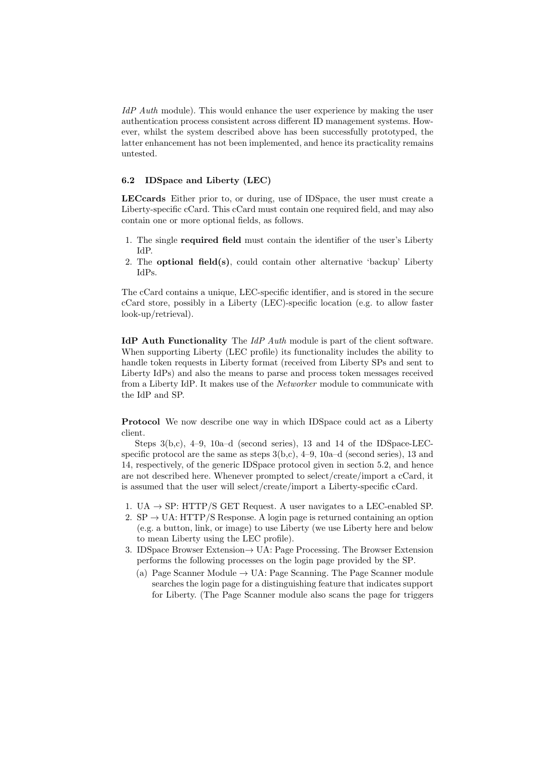*IdP Auth* module). This would enhance the user experience by making the user authentication process consistent across different ID management systems. However, whilst the system described above has been successfully prototyped, the latter enhancement has not been implemented, and hence its practicality remains untested.

### **6.2 IDSpace and Liberty (LEC)**

**LECcards** Either prior to, or during, use of IDSpace, the user must create a Liberty-specific cCard. This cCard must contain one required field, and may also contain one or more optional fields, as follows.

- 1. The single **required field** must contain the identifier of the user's Liberty IdP.
- 2. The **optional field(s)**, could contain other alternative 'backup' Liberty IdPs.

The cCard contains a unique, LEC-specific identifier, and is stored in the secure cCard store, possibly in a Liberty (LEC)-specific location (e.g. to allow faster look-up/retrieval).

**IdP Auth Functionality** The *IdP Auth* module is part of the client software. When supporting Liberty (LEC profile) its functionality includes the ability to handle token requests in Liberty format (received from Liberty SPs and sent to Liberty IdPs) and also the means to parse and process token messages received from a Liberty IdP. It makes use of the *Networker* module to communicate with the IdP and SP.

**Protocol** We now describe one way in which IDSpace could act as a Liberty client.

Steps 3(b,c), 4–9, 10a–d (second series), 13 and 14 of the IDSpace-LECspecific protocol are the same as steps  $3(b,c)$ ,  $4-9$ ,  $10a-d$  (second series), 13 and 14, respectively, of the generic IDSpace protocol given in section 5.2, and hence are not described here. Whenever prompted to select/create/import a cCard, it is assumed that the user will select/create/import a Liberty-specific cCard.

- 1. UA *→* SP: HTTP/S GET Request. A user navigates to a LEC-enabled SP.
- 2. SP *→* UA: HTTP/S Response. A login page is returned containing an option (e.g. a button, link, or image) to use Liberty (we use Liberty here and below to mean Liberty using the LEC profile).
- 3. IDSpace Browser Extension*→* UA: Page Processing. The Browser Extension performs the following processes on the login page provided by the SP.
	- (a) Page Scanner Module *→* UA: Page Scanning. The Page Scanner module searches the login page for a distinguishing feature that indicates support for Liberty. (The Page Scanner module also scans the page for triggers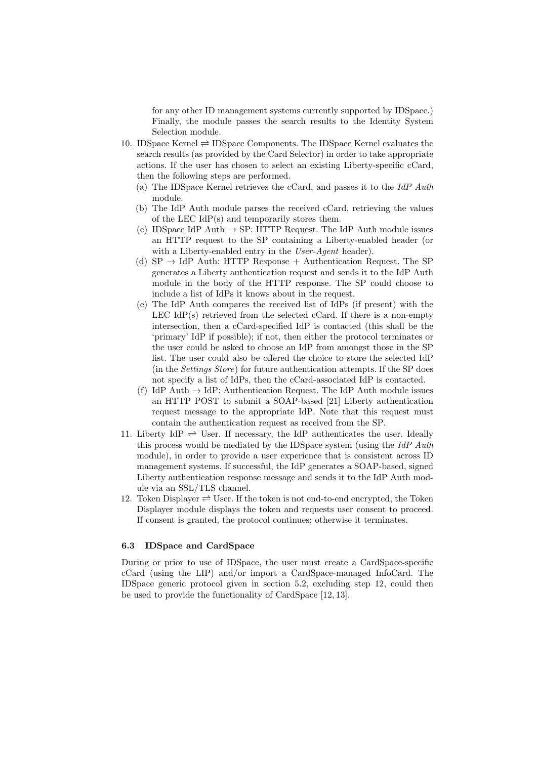for any other ID management systems currently supported by IDSpace.) Finally, the module passes the search results to the Identity System Selection module.

- 10. IDSpace Kernel *⇀↽* IDSpace Components. The IDSpace Kernel evaluates the search results (as provided by the Card Selector) in order to take appropriate actions. If the user has chosen to select an existing Liberty-specific cCard, then the following steps are performed.
	- (a) The IDSpace Kernel retrieves the cCard, and passes it to the *IdP Auth* module.
	- (b) The IdP Auth module parses the received cCard, retrieving the values of the LEC IdP(s) and temporarily stores them.
	- (c) IDSpace IdP Auth *→* SP: HTTP Request. The IdP Auth module issues an HTTP request to the SP containing a Liberty-enabled header (or with a Liberty-enabled entry in the *User-Agent* header).
	- (d) SP *→* IdP Auth: HTTP Response + Authentication Request. The SP generates a Liberty authentication request and sends it to the IdP Auth module in the body of the HTTP response. The SP could choose to include a list of IdPs it knows about in the request.
	- (e) The IdP Auth compares the received list of IdPs (if present) with the LEC  $\text{IdP(s)}$  retrieved from the selected cCard. If there is a non-empty intersection, then a cCard-specified IdP is contacted (this shall be the 'primary' IdP if possible); if not, then either the protocol terminates or the user could be asked to choose an IdP from amongst those in the SP list. The user could also be offered the choice to store the selected IdP (in the *Settings Store*) for future authentication attempts. If the SP does not specify a list of IdPs, then the cCard-associated IdP is contacted.
	- (f) IdP Auth *→* IdP: Authentication Request. The IdP Auth module issues an HTTP POST to submit a SOAP-based [21] Liberty authentication request message to the appropriate IdP. Note that this request must contain the authentication request as received from the SP.
- 11. Liberty IdP  $\rightleftharpoons$  User. If necessary, the IdP authenticates the user. Ideally this process would be mediated by the IDSpace system (using the *IdP Auth* module), in order to provide a user experience that is consistent across ID management systems. If successful, the IdP generates a SOAP-based, signed Liberty authentication response message and sends it to the IdP Auth module via an SSL/TLS channel.
- 12. Token Displayer  $\Rightarrow$  User. If the token is not end-to-end encrypted, the Token Displayer module displays the token and requests user consent to proceed. If consent is granted, the protocol continues; otherwise it terminates.

#### **6.3 IDSpace and CardSpace**

During or prior to use of IDSpace, the user must create a CardSpace-specific cCard (using the LIP) and/or import a CardSpace-managed InfoCard. The IDSpace generic protocol given in section 5.2, excluding step 12, could then be used to provide the functionality of CardSpace [12, 13].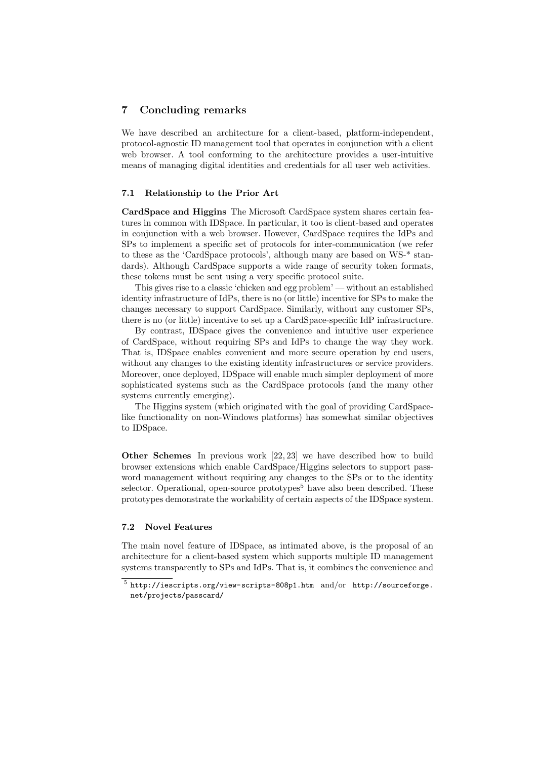# **7 Concluding remarks**

We have described an architecture for a client-based, platform-independent, protocol-agnostic ID management tool that operates in conjunction with a client web browser. A tool conforming to the architecture provides a user-intuitive means of managing digital identities and credentials for all user web activities.

## **7.1 Relationship to the Prior Art**

**CardSpace and Higgins** The Microsoft CardSpace system shares certain features in common with IDSpace. In particular, it too is client-based and operates in conjunction with a web browser. However, CardSpace requires the IdPs and SPs to implement a specific set of protocols for inter-communication (we refer to these as the 'CardSpace protocols', although many are based on WS-\* standards). Although CardSpace supports a wide range of security token formats, these tokens must be sent using a very specific protocol suite.

This gives rise to a classic 'chicken and egg problem' — without an established identity infrastructure of IdPs, there is no (or little) incentive for SPs to make the changes necessary to support CardSpace. Similarly, without any customer SPs, there is no (or little) incentive to set up a CardSpace-specific IdP infrastructure.

By contrast, IDSpace gives the convenience and intuitive user experience of CardSpace, without requiring SPs and IdPs to change the way they work. That is, IDSpace enables convenient and more secure operation by end users, without any changes to the existing identity infrastructures or service providers. Moreover, once deployed, IDSpace will enable much simpler deployment of more sophisticated systems such as the CardSpace protocols (and the many other systems currently emerging).

The Higgins system (which originated with the goal of providing CardSpacelike functionality on non-Windows platforms) has somewhat similar objectives to IDSpace.

**Other Schemes** In previous work [22, 23] we have described how to build browser extensions which enable CardSpace/Higgins selectors to support password management without requiring any changes to the SPs or to the identity selector. Operational, open-source prototypes<sup>5</sup> have also been described. These prototypes demonstrate the workability of certain aspects of the IDSpace system.

# **7.2 Novel Features**

The main novel feature of IDSpace, as intimated above, is the proposal of an architecture for a client-based system which supports multiple ID management systems transparently to SPs and IdPs. That is, it combines the convenience and

 $^5$  http://iescripts.org/view-scripts-808p1.htm and/or http://sourceforge. net/projects/passcard/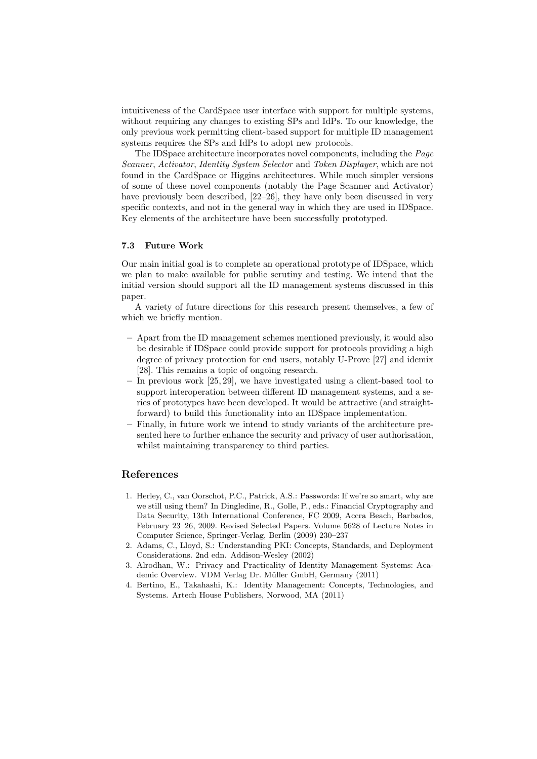intuitiveness of the CardSpace user interface with support for multiple systems, without requiring any changes to existing SPs and IdPs. To our knowledge, the only previous work permitting client-based support for multiple ID management systems requires the SPs and IdPs to adopt new protocols.

The IDSpace architecture incorporates novel components, including the *Page Scanner*, *Activator*, *Identity System Selector* and *Token Displayer*, which are not found in the CardSpace or Higgins architectures. While much simpler versions of some of these novel components (notably the Page Scanner and Activator) have previously been described,  $[22-26]$ , they have only been discussed in very specific contexts, and not in the general way in which they are used in IDSpace. Key elements of the architecture have been successfully prototyped.

#### **7.3 Future Work**

Our main initial goal is to complete an operational prototype of IDSpace, which we plan to make available for public scrutiny and testing. We intend that the initial version should support all the ID management systems discussed in this paper.

A variety of future directions for this research present themselves, a few of which we briefly mention.

- **–** Apart from the ID management schemes mentioned previously, it would also be desirable if IDSpace could provide support for protocols providing a high degree of privacy protection for end users, notably U-Prove [27] and idemix [28]. This remains a topic of ongoing research.
- **–** In previous work [25, 29], we have investigated using a client-based tool to support interoperation between different ID management systems, and a series of prototypes have been developed. It would be attractive (and straightforward) to build this functionality into an IDSpace implementation.
- **–** Finally, in future work we intend to study variants of the architecture presented here to further enhance the security and privacy of user authorisation, whilst maintaining transparency to third parties.

# **References**

- 1. Herley, C., van Oorschot, P.C., Patrick, A.S.: Passwords: If we're so smart, why are we still using them? In Dingledine, R., Golle, P., eds.: Financial Cryptography and Data Security, 13th International Conference, FC 2009, Accra Beach, Barbados, February 23–26, 2009. Revised Selected Papers. Volume 5628 of Lecture Notes in Computer Science, Springer-Verlag, Berlin (2009) 230–237
- 2. Adams, C., Lloyd, S.: Understanding PKI: Concepts, Standards, and Deployment Considerations. 2nd edn. Addison-Wesley (2002)
- 3. Alrodhan, W.: Privacy and Practicality of Identity Management Systems: Academic Overview. VDM Verlag Dr. Müller GmbH, Germany (2011)
- 4. Bertino, E., Takahashi, K.: Identity Management: Concepts, Technologies, and Systems. Artech House Publishers, Norwood, MA (2011)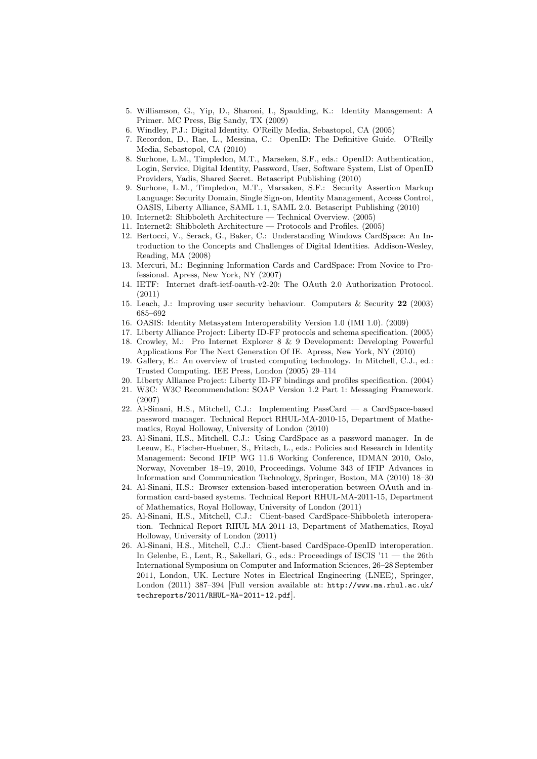- 5. Williamson, G., Yip, D., Sharoni, I., Spaulding, K.: Identity Management: A Primer. MC Press, Big Sandy, TX (2009)
- 6. Windley, P.J.: Digital Identity. O'Reilly Media, Sebastopol, CA (2005)
- 7. Recordon, D., Rae, L., Messina, C.: OpenID: The Definitive Guide. O'Reilly Media, Sebastopol, CA (2010)
- 8. Surhone, L.M., Timpledon, M.T., Marseken, S.F., eds.: OpenID: Authentication, Login, Service, Digital Identity, Password, User, Software System, List of OpenID Providers, Yadis, Shared Secret. Betascript Publishing (2010)
- 9. Surhone, L.M., Timpledon, M.T., Marsaken, S.F.: Security Assertion Markup Language: Security Domain, Single Sign-on, Identity Management, Access Control, OASIS, Liberty Alliance, SAML 1.1, SAML 2.0. Betascript Publishing (2010)
- 10. Internet2: Shibboleth Architecture Technical Overview. (2005)
- 11. Internet2: Shibboleth Architecture Protocols and Profiles. (2005)
- 12. Bertocci, V., Serack, G., Baker, C.: Understanding Windows CardSpace: An Introduction to the Concepts and Challenges of Digital Identities. Addison-Wesley, Reading, MA (2008)
- 13. Mercuri, M.: Beginning Information Cards and CardSpace: From Novice to Professional. Apress, New York, NY (2007)
- 14. IETF: Internet draft-ietf-oauth-v2-20: The OAuth 2.0 Authorization Protocol. (2011)
- 15. Leach, J.: Improving user security behaviour. Computers & Security **22** (2003) 685–692
- 16. OASIS: Identity Metasystem Interoperability Version 1.0 (IMI 1.0). (2009)
- 17. Liberty Alliance Project: Liberty ID-FF protocols and schema specification. (2005)
- 18. Crowley, M.: Pro Internet Explorer 8 & 9 Development: Developing Powerful Applications For The Next Generation Of IE. Apress, New York, NY (2010)
- 19. Gallery, E.: An overview of trusted computing technology. In Mitchell, C.J., ed.: Trusted Computing. IEE Press, London (2005) 29–114
- 20. Liberty Alliance Project: Liberty ID-FF bindings and profiles specification. (2004)
- 21. W3C: W3C Recommendation: SOAP Version 1.2 Part 1: Messaging Framework. (2007)
- 22. Al-Sinani, H.S., Mitchell, C.J.: Implementing PassCard a CardSpace-based password manager. Technical Report RHUL-MA-2010-15, Department of Mathematics, Royal Holloway, University of London (2010)
- 23. Al-Sinani, H.S., Mitchell, C.J.: Using CardSpace as a password manager. In de Leeuw, E., Fischer-Huebner, S., Fritsch, L., eds.: Policies and Research in Identity Management: Second IFIP WG 11.6 Working Conference, IDMAN 2010, Oslo, Norway, November 18–19, 2010, Proceedings. Volume 343 of IFIP Advances in Information and Communication Technology, Springer, Boston, MA (2010) 18–30
- 24. Al-Sinani, H.S.: Browser extension-based interoperation between OAuth and information card-based systems. Technical Report RHUL-MA-2011-15, Department of Mathematics, Royal Holloway, University of London (2011)
- 25. Al-Sinani, H.S., Mitchell, C.J.: Client-based CardSpace-Shibboleth interoperation. Technical Report RHUL-MA-2011-13, Department of Mathematics, Royal Holloway, University of London (2011)
- 26. Al-Sinani, H.S., Mitchell, C.J.: Client-based CardSpace-OpenID interoperation. In Gelenbe, E., Lent, R., Sakellari, G., eds.: Proceedings of ISCIS '11 — the 26th International Symposium on Computer and Information Sciences, 26–28 September 2011, London, UK. Lecture Notes in Electrical Engineering (LNEE), Springer, London (2011) 387–394 [Full version available at: http://www.ma.rhul.ac.uk/ techreports/2011/RHUL-MA-2011-12.pdf].